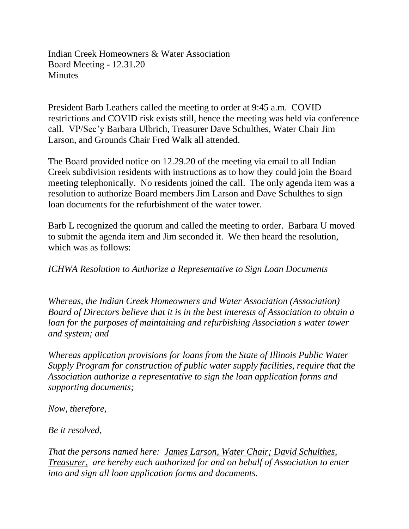Indian Creek Homeowners & Water Association Board Meeting - 12.31.20 **Minutes** 

President Barb Leathers called the meeting to order at 9:45 a.m. COVID restrictions and COVID risk exists still, hence the meeting was held via conference call. VP/Sec'y Barbara Ulbrich, Treasurer Dave Schulthes, Water Chair Jim Larson, and Grounds Chair Fred Walk all attended.

The Board provided notice on 12.29.20 of the meeting via email to all Indian Creek subdivision residents with instructions as to how they could join the Board meeting telephonically. No residents joined the call. The only agenda item was a resolution to authorize Board members Jim Larson and Dave Schulthes to sign loan documents for the refurbishment of the water tower.

Barb L recognized the quorum and called the meeting to order. Barbara U moved to submit the agenda item and Jim seconded it. We then heard the resolution, which was as follows:

*ICHWA Resolution to Authorize a Representative to Sign Loan Documents*

*Whereas, the Indian Creek Homeowners and Water Association (Association) Board of Directors believe that it is in the best interests of Association to obtain a loan for the purposes of maintaining and refurbishing Association s water tower and system; and*

*Whereas application provisions for loans from the State of Illinois Public Water Supply Program for construction of public water supply facilities, require that the Association authorize a representative to sign the loan application forms and supporting documents;*

*Now, therefore,*

*Be it resolved,*

*That the persons named here: James Larson, Water Chair; David Schulthes, Treasurer, are hereby each authorized for and on behalf of Association to enter into and sign all loan application forms and documents.*